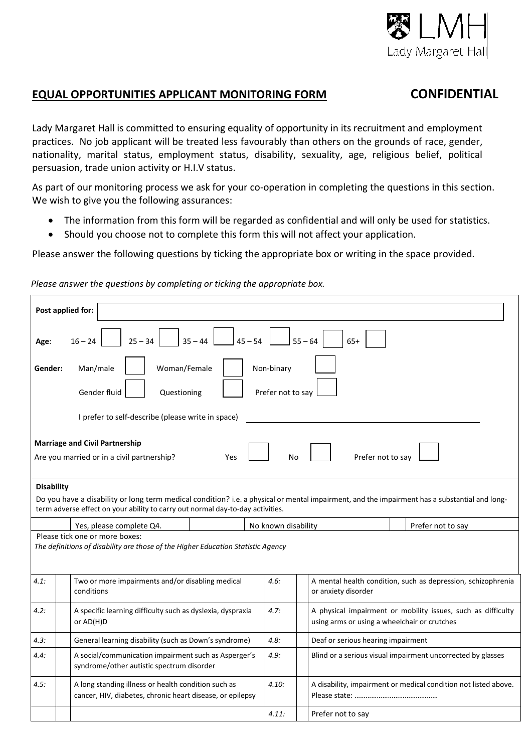

## **EQUAL OPPORTUNITIES APPLICANT MONITORING FORM CONFIDENTIAL**

Lady Margaret Hall is committed to ensuring equality of opportunity in its recruitment and employment practices. No job applicant will be treated less favourably than others on the grounds of race, gender, nationality, marital status, employment status, disability, sexuality, age, religious belief, political persuasion, trade union activity or H.I.V status.

As part of our monitoring process we ask for your co-operation in completing the questions in this section. We wish to give you the following assurances:

- The information from this form will be regarded as confidential and will only be used for statistics.
- Should you choose not to complete this form this will not affect your application.

Please answer the following questions by ticking the appropriate box or writing in the space provided.

| Post applied for:                                                                                                                                                                                                                                    |                                                                 |  |  |  |  |  |  |
|------------------------------------------------------------------------------------------------------------------------------------------------------------------------------------------------------------------------------------------------------|-----------------------------------------------------------------|--|--|--|--|--|--|
| $45 - 54$<br>$25 - 34$<br>$35 - 44$<br>$55 - 64$<br>$65+$<br>$16 - 24$<br>Age:                                                                                                                                                                       |                                                                 |  |  |  |  |  |  |
| Woman/Female<br>Man/male<br>Non-binary<br>Gender:<br>Gender fluid<br>Prefer not to say<br>Questioning                                                                                                                                                |                                                                 |  |  |  |  |  |  |
| I prefer to self-describe (please write in space)                                                                                                                                                                                                    |                                                                 |  |  |  |  |  |  |
| <b>Marriage and Civil Partnership</b><br>Prefer not to say<br>Are you married or in a civil partnership?<br>No<br>Yes                                                                                                                                |                                                                 |  |  |  |  |  |  |
| <b>Disability</b><br>Do you have a disability or long term medical condition? i.e. a physical or mental impairment, and the impairment has a substantial and long-<br>term adverse effect on your ability to carry out normal day-to-day activities. |                                                                 |  |  |  |  |  |  |
| Yes, please complete Q4.<br>No known disability<br>Prefer not to say                                                                                                                                                                                 |                                                                 |  |  |  |  |  |  |
| Please tick one or more boxes:<br>The definitions of disability are those of the Higher Education Statistic Agency                                                                                                                                   |                                                                 |  |  |  |  |  |  |
| 4.1:<br>Two or more impairments and/or disabling medical<br>4.6:<br>conditions<br>or anxiety disorder                                                                                                                                                | A mental health condition, such as depression, schizophrenia    |  |  |  |  |  |  |
| A specific learning difficulty such as dyslexia, dyspraxia<br>4.7:<br>4.2:<br>or AD(H)D<br>using arms or using a wheelchair or crutches                                                                                                              | A physical impairment or mobility issues, such as difficulty    |  |  |  |  |  |  |
| General learning disability (such as Down's syndrome)<br>4.8:<br>Deaf or serious hearing impairment<br>4.3:                                                                                                                                          |                                                                 |  |  |  |  |  |  |
| A social/communication impairment such as Asperger's<br>4.9:<br>4.4:<br>syndrome/other autistic spectrum disorder                                                                                                                                    | Blind or a serious visual impairment uncorrected by glasses     |  |  |  |  |  |  |
| 4.5:<br>A long standing illness or health condition such as<br>4.10:<br>cancer, HIV, diabetes, chronic heart disease, or epilepsy                                                                                                                    | A disability, impairment or medical condition not listed above. |  |  |  |  |  |  |
| 4.11:<br>Prefer not to say                                                                                                                                                                                                                           |                                                                 |  |  |  |  |  |  |

 *Please answer the questions by completing or ticking the appropriate box.*